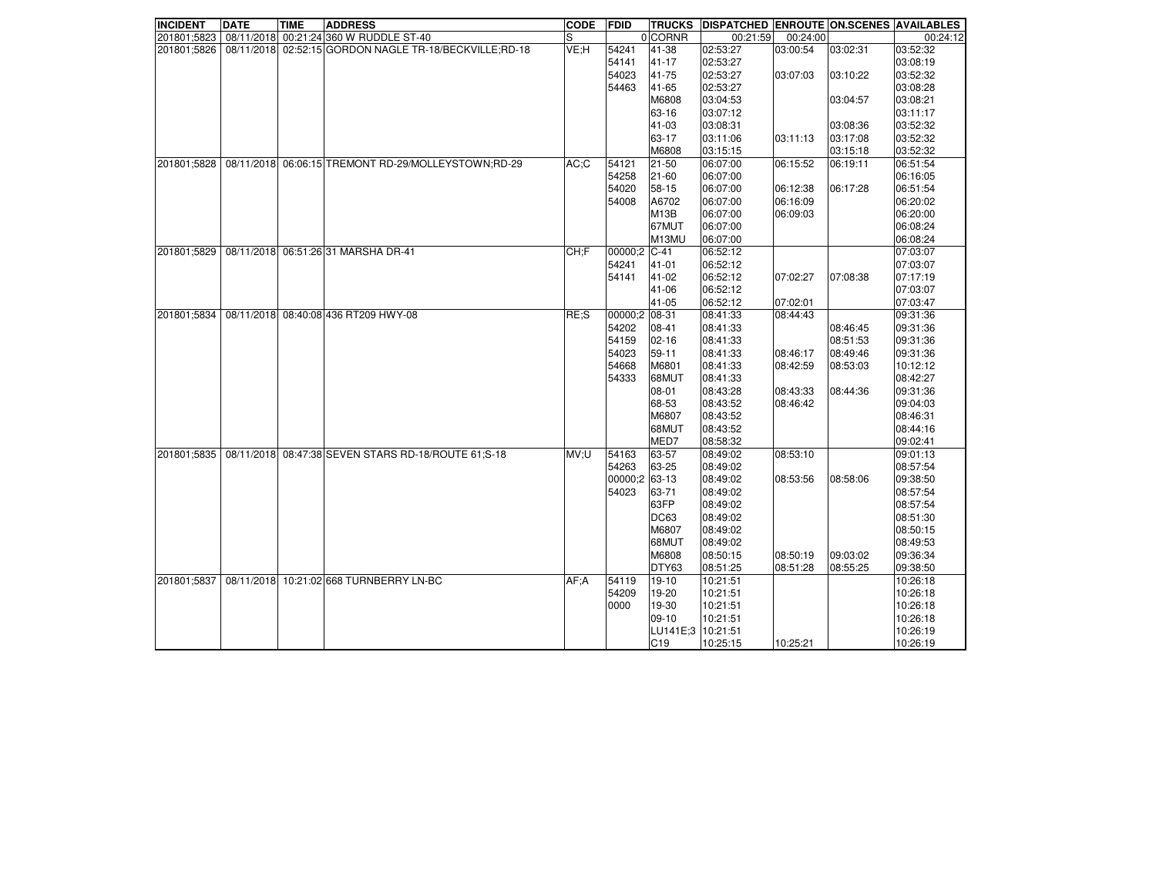| <b>INCIDENT</b> | <b>DATE</b> | <b>TIME</b> | <b>ADDRESS</b>                                          | <b>CODE</b> | <b>FDID</b>   | <b>TRUCKS</b>     |          |          |          | DISPATCHED ENROUTE ON SCENES AVAILABLES |
|-----------------|-------------|-------------|---------------------------------------------------------|-------------|---------------|-------------------|----------|----------|----------|-----------------------------------------|
| 201801;5823     |             |             | 08/11/2018 00:21:24 360 W RUDDLE ST-40                  | S           |               | 0 CORNR           | 00:21:59 | 00:24:00 |          | 00:24:12                                |
| 201801;5826     |             |             | 08/11/2018 02:52:15 GORDON NAGLE TR-18/BECKVILLE; RD-18 | VE;H        | 54241         | 41-38             | 02:53:27 | 03:00:54 | 03:02:31 | 03:52:32                                |
|                 |             |             |                                                         |             | 54141         | 41-17             | 02:53:27 |          |          | 03:08:19                                |
|                 |             |             |                                                         |             | 54023         | 41-75             | 02:53:27 | 03:07:03 | 03:10:22 | 03:52:32                                |
|                 |             |             |                                                         |             | 54463         | 41-65             | 02:53:27 |          |          | 03:08:28                                |
|                 |             |             |                                                         |             |               | M6808             | 03:04:53 |          | 03:04:57 | 03:08:21                                |
|                 |             |             |                                                         |             |               | 63-16             | 03:07:12 |          |          | 03:11:17                                |
|                 |             |             |                                                         |             |               | 41-03             | 03:08:31 |          | 03:08:36 | 03:52:32                                |
|                 |             |             |                                                         |             |               | 63-17             | 03:11:06 | 03:11:13 | 03:17:08 | 03:52:32                                |
|                 |             |             |                                                         |             |               | M6808             | 03:15:15 |          | 03:15:18 | 03:52:32                                |
| 201801;5828     |             |             | 08/11/2018 06:06:15 TREMONT RD-29/MOLLEYSTOWN;RD-29     | AC:C        | 54121         | $21 - 50$         | 06:07:00 | 06:15:52 | 06:19:11 | 06:51:54                                |
|                 |             |             |                                                         |             | 54258         | 21-60             | 06:07:00 |          |          | 06:16:05                                |
|                 |             |             |                                                         |             | 54020         | 58-15             | 06:07:00 | 06:12:38 | 06:17:28 | 06:51:54                                |
|                 |             |             |                                                         |             | 54008         | A6702             | 06:07:00 | 06:16:09 |          | 06:20:02                                |
|                 |             |             |                                                         |             |               | M <sub>13</sub> B | 06:07:00 | 06:09:03 |          | 06:20:00                                |
|                 |             |             |                                                         |             |               | 67MUT             | 06:07:00 |          |          | 06:08:24                                |
|                 |             |             |                                                         |             |               | M13MU             | 06:07:00 |          |          | 06:08:24                                |
| 201801;5829     |             |             | 08/11/2018 06:51:26 31 MARSHA DR-41                     | CH:F        | 00000;2       | $C-41$            | 06:52:12 |          |          | 07:03:07                                |
|                 |             |             |                                                         |             | 54241         | $41 - 01$         | 06:52:12 |          |          | 07:03:07                                |
|                 |             |             |                                                         |             | 54141         | 41-02             | 06:52:12 | 07:02:27 | 07:08:38 | 07:17:19                                |
|                 |             |             |                                                         |             |               | 41-06             | 06:52:12 |          |          | 07:03:07                                |
|                 |             |             |                                                         |             |               | 41-05             | 06:52:12 | 07:02:01 |          | 07:03:47                                |
| 201801;5834     |             |             | 08/11/2018 08:40:08 436 RT209 HWY-08                    | RE:S        | 00000;2 08-31 |                   | 08:41:33 | 08:44:43 |          | 09:31:36                                |
|                 |             |             |                                                         |             | 54202         | 08-41             | 08:41:33 |          | 08:46:45 | 09:31:36                                |
|                 |             |             |                                                         |             | 54159         | 02-16             | 08:41:33 |          | 08:51:53 | 09:31:36                                |
|                 |             |             |                                                         |             | 54023         | $59 - 11$         | 08:41:33 | 08:46:17 | 08:49:46 | 09:31:36                                |
|                 |             |             |                                                         |             | 54668         | M6801             | 08:41:33 | 08:42:59 | 08:53:03 | 10:12:12                                |
|                 |             |             |                                                         |             | 54333         | 68MUT             | 08:41:33 |          |          | 08:42:27                                |
|                 |             |             |                                                         |             |               | 08-01             | 08:43:28 | 08:43:33 | 08:44:36 | 09:31:36                                |
|                 |             |             |                                                         |             |               | 68-53             | 08:43:52 | 08:46:42 |          | 09:04:03                                |
|                 |             |             |                                                         |             |               | M6807             | 08:43:52 |          |          | 08:46:31                                |
|                 |             |             |                                                         |             |               | 68MUT             | 08:43:52 |          |          | 08:44:16                                |
|                 |             |             |                                                         |             |               | MED7              | 08:58:32 |          |          | 09:02:41                                |
| 201801;5835     |             |             | 08/11/2018 08:47:38 SEVEN STARS RD-18/ROUTE 61:S-18     | MV;U        | 54163         | 63-57             | 08:49:02 | 08:53:10 |          | 09:01:13                                |
|                 |             |             |                                                         |             | 54263         | 63-25             | 08:49:02 |          |          | 08:57:54                                |
|                 |             |             |                                                         |             | 00000;2 63-13 |                   | 08:49:02 | 08:53:56 | 08:58:06 | 09:38:50                                |
|                 |             |             |                                                         |             | 54023         | 63-71             | 08:49:02 |          |          | 08:57:54                                |
|                 |             |             |                                                         |             |               | 63FP              | 08:49:02 |          |          | 08:57:54                                |
|                 |             |             |                                                         |             |               | <b>DC63</b>       | 08:49:02 |          |          | 08:51:30                                |
|                 |             |             |                                                         |             |               | M6807             | 08:49:02 |          |          | 08:50:15                                |
|                 |             |             |                                                         |             |               | 68MUT             | 08:49:02 |          |          | 08:49:53                                |
|                 |             |             |                                                         |             |               | M6808             | 08:50:15 | 08:50:19 | 09:03:02 | 09:36:34                                |
|                 |             |             |                                                         |             |               | DTY63             | 08:51:25 | 08:51:28 | 08:55:25 | 09:38:50                                |
| 201801;5837     |             |             | 08/11/2018 10:21:02 668 TURNBERRY LN-BC                 | AF: A       | 54119         | $19-10$           | 10:21:51 |          |          | 10:26:18                                |
|                 |             |             |                                                         |             | 54209         | 19-20             | 10:21:51 |          |          | 10:26:18                                |
|                 |             |             |                                                         |             | 0000          | 19-30             | 10:21:51 |          |          | 10:26:18                                |
|                 |             |             |                                                         |             |               | $09-10$           | 10:21:51 |          |          | 10:26:18                                |
|                 |             |             |                                                         |             |               | LU141E:3          | 10:21:51 |          |          | 10:26:19                                |
|                 |             |             |                                                         |             |               | C <sub>19</sub>   | 10:25:15 | 10:25:21 |          | 10:26:19                                |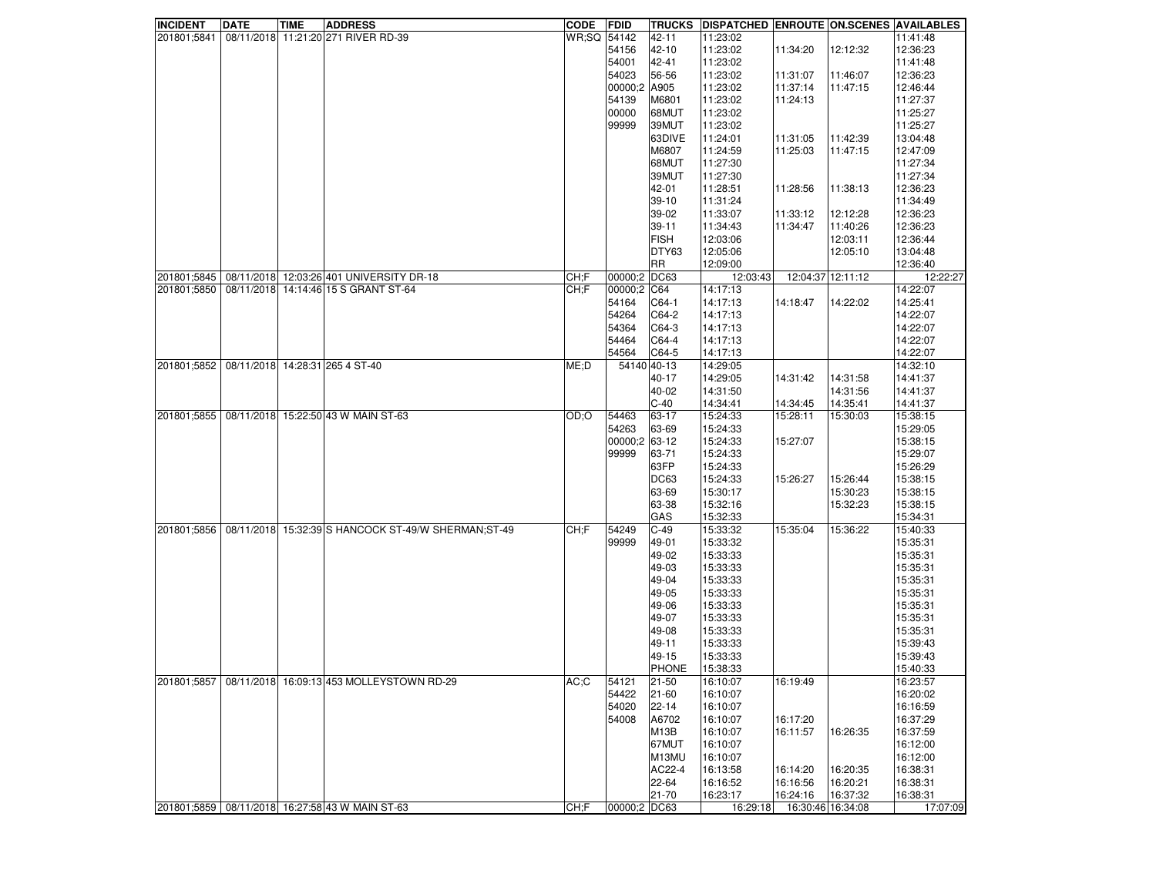| <b>INCIDENT</b> | <b>DATE</b> | TIME | <b>ADDRESS</b>                                       | <b>CODE</b> | FDID         | <b>TRUCKS</b> | DISPATCHED ENROUTE ON SCENES AVAILABLES |                   |          |          |
|-----------------|-------------|------|------------------------------------------------------|-------------|--------------|---------------|-----------------------------------------|-------------------|----------|----------|
| 201801;5841     |             |      | 08/11/2018 11:21:20 271 RIVER RD-39                  | WR;SQ       | 54142        | 42-11         | 11:23:02                                |                   |          | 11:41:48 |
|                 |             |      |                                                      |             | 54156        | 42-10         | 11:23:02                                | 11:34:20          | 12:12:32 | 12:36:23 |
|                 |             |      |                                                      |             | 54001        | 42-41         | 11:23:02                                |                   |          | 11:41:48 |
|                 |             |      |                                                      |             | 54023        | 56-56         | 11:23:02                                | 11:31:07          | 11:46:07 | 12:36:23 |
|                 |             |      |                                                      |             | 00000;2      | A905          | 11:23:02                                | 11:37:14          | 11:47:15 | 12:46:44 |
|                 |             |      |                                                      |             | 54139        | M6801         | 11:23:02                                | 11:24:13          |          | 11:27:37 |
|                 |             |      |                                                      |             | 00000        | 68MUT         | 11:23:02                                |                   |          | 11:25:27 |
|                 |             |      |                                                      |             | 99999        | 39MUT         | 11:23:02                                |                   |          | 11:25:27 |
|                 |             |      |                                                      |             |              | 63DIVE        | 11:24:01                                | 11:31:05          | 11:42:39 | 13:04:48 |
|                 |             |      |                                                      |             |              | M6807         | 11:24:59                                | 11:25:03          | 11:47:15 | 12:47:09 |
|                 |             |      |                                                      |             |              | 68MUT         | 11:27:30                                |                   |          | 11:27:34 |
|                 |             |      |                                                      |             |              | 39MUT         | 11:27:30                                |                   |          | 11:27:34 |
|                 |             |      |                                                      |             |              | 42-01         | 11:28:51                                |                   |          | 12:36:23 |
|                 |             |      |                                                      |             |              |               |                                         | 11:28:56          | 11:38:13 |          |
|                 |             |      |                                                      |             |              | $39-10$       | 11:31:24                                |                   |          | 11:34:49 |
|                 |             |      |                                                      |             |              | 39-02         | 11:33:07                                | 11:33:12          | 12:12:28 | 12:36:23 |
|                 |             |      |                                                      |             |              | $39 - 11$     | 11:34:43                                | 11:34:47          | 11:40:26 | 12:36:23 |
|                 |             |      |                                                      |             |              | <b>FISH</b>   | 12:03:06                                |                   | 12:03:11 | 12:36:44 |
|                 |             |      |                                                      |             |              | DTY63         | 12:05:06                                |                   | 12:05:10 | 13:04:48 |
|                 |             |      |                                                      |             |              | <b>RR</b>     | 12:09:00                                |                   |          | 12:36:40 |
| 201801;5845     |             |      | 08/11/2018 12:03:26 401 UNIVERSITY DR-18             | CH;F        | 00000;2      | DC63          | 12:03:43                                | 12:04:37 12:11:12 |          | 12:22:27 |
| 201801;5850     |             |      | 08/11/2018 14:14:46 15 S GRANT ST-64                 | CH:F        | 00000:2      | C64           | 14:17:13                                |                   |          | 14:22:07 |
|                 |             |      |                                                      |             | 54164        | C64-1         | 14:17:13                                | 14:18:47          | 14:22:02 | 14:25:41 |
|                 |             |      |                                                      |             | 54264        | C64-2         | 14:17:13                                |                   |          | 14:22:07 |
|                 |             |      |                                                      |             | 54364        | $ C64-3 $     | 14:17:13                                |                   |          | 14:22:07 |
|                 |             |      |                                                      |             | 54464        | C64-4         | 14:17:13                                |                   |          | 14:22:07 |
|                 |             |      |                                                      |             | 54564        | C64-5         | 14:17:13                                |                   |          | 14:22:07 |
| 201801:5852     |             |      | 08/11/2018 14:28:31 265 4 ST-40                      | ME: D       |              | 54140 40-13   | 14:29:05                                |                   |          | 14:32:10 |
|                 |             |      |                                                      |             |              | 40-17         | 14:29:05                                | 14:31:42          | 14:31:58 | 14:41:37 |
|                 |             |      |                                                      |             |              | 40-02         | 14:31:50                                |                   | 14:31:56 | 14:41:37 |
|                 |             |      |                                                      |             |              | $C-40$        | 14:34:41                                | 14:34:45          | 14:35:41 | 14:41:37 |
| 201801;5855     |             |      | 08/11/2018 15:22:50 43 W MAIN ST-63                  | OD;O        | 54463        | 63-17         | 15:24:33                                | 15:28:11          | 15:30:03 | 15:38:15 |
|                 |             |      |                                                      |             |              |               |                                         |                   |          |          |
|                 |             |      |                                                      |             | 54263        | 63-69         | 15:24:33                                |                   |          | 15:29:05 |
|                 |             |      |                                                      |             | 00000;2      | 63-12         | 15:24:33                                | 15:27:07          |          | 15:38:15 |
|                 |             |      |                                                      |             | 99999        | 63-71         | 15:24:33                                |                   |          | 15:29:07 |
|                 |             |      |                                                      |             |              | 63FP          | 15:24:33                                |                   |          | 15:26:29 |
|                 |             |      |                                                      |             |              | DC63          | 15:24:33                                | 15:26:27          | 15:26:44 | 15:38:15 |
|                 |             |      |                                                      |             |              | 63-69         | 15:30:17                                |                   | 15:30:23 | 15:38:15 |
|                 |             |      |                                                      |             |              | 63-38         | 15:32:16                                |                   | 15:32:23 | 15:38:15 |
|                 |             |      |                                                      |             |              | GAS           | 15:32:33                                |                   |          | 15:34:31 |
| 201801;5856     |             |      | 08/11/2018 15:32:39 S HANCOCK ST-49/W SHERMAN; ST-49 | CH:F        | 54249        | $C-49$        | 15:33:32                                | 15:35:04          | 15:36:22 | 15:40:33 |
|                 |             |      |                                                      |             | 99999        | 49-01         | 15:33:32                                |                   |          | 15:35:31 |
|                 |             |      |                                                      |             |              | 49-02         | 15:33:33                                |                   |          | 15:35:31 |
|                 |             |      |                                                      |             |              | 49-03         | 15:33:33                                |                   |          | 15:35:31 |
|                 |             |      |                                                      |             |              | 49-04         | 15:33:33                                |                   |          | 15:35:31 |
|                 |             |      |                                                      |             |              | 49-05         | 15:33:33                                |                   |          | 15:35:31 |
|                 |             |      |                                                      |             |              | 49-06         | 15:33:33                                |                   |          | 15:35:31 |
|                 |             |      |                                                      |             |              | 49-07         | 15:33:33                                |                   |          | 15:35:31 |
|                 |             |      |                                                      |             |              | 49-08         | 15:33:33                                |                   |          | 15:35:31 |
|                 |             |      |                                                      |             |              | 49-11         | 15:33:33                                |                   |          | 15:39:43 |
|                 |             |      |                                                      |             |              | 49-15         | 15:33:33                                |                   |          | 15:39:43 |
|                 |             |      |                                                      |             |              | <b>PHONE</b>  | 15:38:33                                |                   |          | 15:40:33 |
| 201801;5857     |             |      | 08/11/2018 16:09:13 453 MOLLEYSTOWN RD-29            | AC;C        | 54121        | 21-50         | 16:10:07                                | 16:19:49          |          | 16:23:57 |
|                 |             |      |                                                      |             | 54422        | 21-60         | 16:10:07                                |                   |          | 16:20:02 |
|                 |             |      |                                                      |             | 54020        | 22-14         | 16:10:07                                |                   |          | 16:16:59 |
|                 |             |      |                                                      |             | 54008        | A6702         | 16:10:07                                | 16:17:20          |          | 16:37:29 |
|                 |             |      |                                                      |             |              |               | 16:10:07                                | 16:11:57          |          | 16:37:59 |
|                 |             |      |                                                      |             |              | <b>M13B</b>   | 16:10:07                                |                   | 16:26:35 |          |
|                 |             |      |                                                      |             |              | 67MUT         |                                         |                   |          | 16:12:00 |
|                 |             |      |                                                      |             |              | M13MU         | 16:10:07                                |                   |          | 16:12:00 |
|                 |             |      |                                                      |             |              | AC22-4        | 16:13:58                                | 16:14:20          | 16:20:35 | 16:38:31 |
|                 |             |      |                                                      |             |              | 22-64         | 16:16:52                                | 16:16:56          | 16:20:21 | 16:38:31 |
|                 |             |      |                                                      |             |              | 21-70         | 16:23:17                                | 16:24:16          | 16:37:32 | 16:38:31 |
|                 |             |      | 201801;5859   08/11/2018   16:27:58 43 W MAIN ST-63  | CH:F        | 00000;2 DC63 |               | 16:29:18                                | 16:30:46 16:34:08 |          | 17:07:09 |